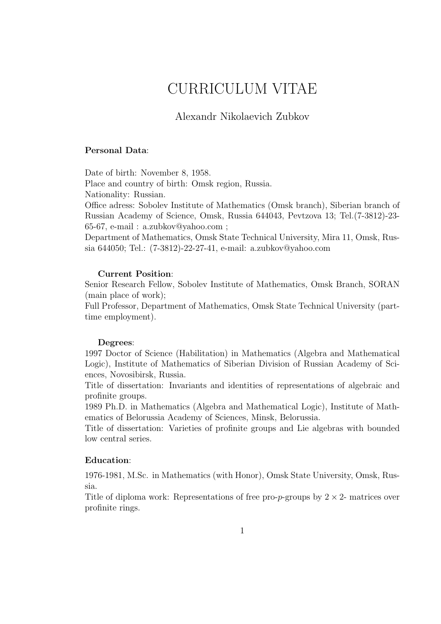# CURRICULUM VITAE

## Alexandr Nikolaevich Zubkov

#### Personal Data:

Date of birth: November 8, 1958.

Place and country of birth: Omsk region, Russia. Nationality: Russian.

Office adress: Sobolev Institute of Mathematics (Omsk branch), Siberian branch of Russian Academy of Science, Omsk, Russia 644043, Pevtzova 13; Tel.(7-3812)-23- 65-67, e-mail : a.zubkov@yahoo.com ;

Department of Mathematics, Omsk State Technical University, Mira 11, Omsk, Russia 644050; Tel.: (7-3812)-22-27-41, e-mail: a.zubkov@yahoo.com

#### Current Position:

Senior Research Fellow, Sobolev Institute of Mathematics, Omsk Branch, SORAN (main place of work);

Full Professor, Department of Mathematics, Omsk State Technical University (parttime employment).

#### Degrees:

1997 Doctor of Science (Habilitation) in Mathematics (Algebra and Mathematical Logic), Institute of Mathematics of Siberian Division of Russian Academy of Sciences, Novosibirsk, Russia.

Title of dissertation: Invariants and identities of representations of algebraic and profinite groups.

1989 Ph.D. in Mathematics (Algebra and Mathematical Logic), Institute of Mathematics of Belorussia Academy of Sciences, Minsk, Belorussia.

Title of dissertation: Varieties of profinite groups and Lie algebras with bounded low central series.

## Education:

1976-1981, M.Sc. in Mathematics (with Honor), Omsk State University, Omsk, Russia.

Title of diploma work: Representations of free pro-p-groups by  $2 \times 2$ - matrices over profinite rings.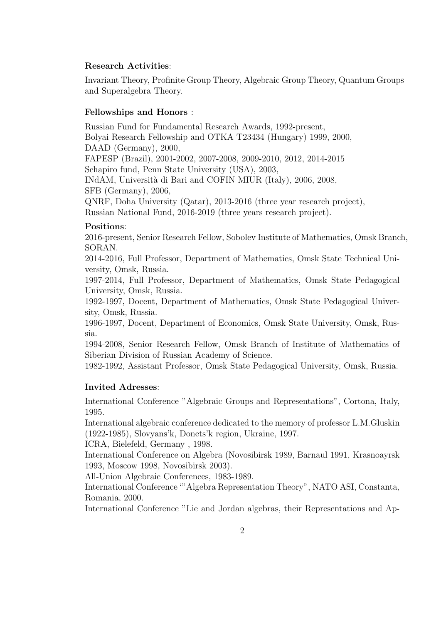#### Research Activities:

Invariant Theory, Profinite Group Theory, Algebraic Group Theory, Quantum Groups and Superalgebra Theory.

### Fellowships and Honors :

Russian Fund for Fundamental Research Awards, 1992-present, Bolyai Research Fellowship and OTKA T23434 (Hungary) 1999, 2000, DAAD (Germany), 2000, FAPESP (Brazil), 2001-2002, 2007-2008, 2009-2010, 2012, 2014-2015 Schapiro fund, Penn State University (USA), 2003, INdAM, Universit`a di Bari and COFIN MIUR (Italy), 2006, 2008, SFB (Germany), 2006, QNRF, Doha University (Qatar), 2013-2016 (three year research project), Russian National Fund, 2016-2019 (three years research project).

#### Positions:

2016-present, Senior Research Fellow, Sobolev Institute of Mathematics, Omsk Branch, SORAN.

2014-2016, Full Professor, Department of Mathematics, Omsk State Technical University, Omsk, Russia.

1997-2014, Full Professor, Department of Mathematics, Omsk State Pedagogical University, Omsk, Russia.

1992-1997, Docent, Department of Mathematics, Omsk State Pedagogical University, Omsk, Russia.

1996-1997, Docent, Department of Economics, Omsk State University, Omsk, Russia.

1994-2008, Senior Research Fellow, Omsk Branch of Institute of Mathematics of Siberian Division of Russian Academy of Science.

1982-1992, Assistant Professor, Omsk State Pedagogical University, Omsk, Russia.

#### Invited Adresses:

International Conference "Algebraic Groups and Representations", Cortona, Italy, 1995.

International algebraic conference dedicated to the memory of professor L.M.Gluskin (1922-1985), Slovyans'k, Donets'k region, Ukraine, 1997.

ICRA, Bielefeld, Germany , 1998.

International Conference on Algebra (Novosibirsk 1989, Barnaul 1991, Krasnoayrsk 1993, Moscow 1998, Novosibirsk 2003).

All-Union Algebraic Conferences, 1983-1989.

International Conference '"Algebra Representation Theory", NATO ASI, Constanta, Romania, 2000.

International Conference "Lie and Jordan algebras, their Representations and Ap-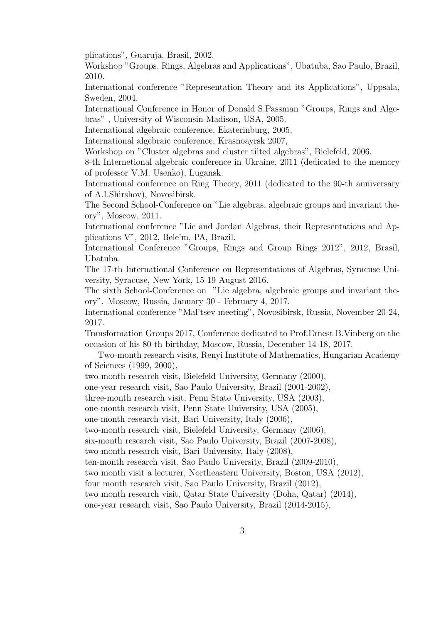plications", Guaruja, Brasil, 2002.

Workshop "Groups, Rings, Algebras and Applications", Ubatuba, Sao Paulo, Brazil, 2010.

International conference "Representation Theory and its Applications", Uppsala, Sweden, 2004.

International Conference in Honor of Donald S.Passman "Groups, Rings and Algebras" , University of Wisconsin-Madison, USA, 2005.

International algebraic conference, Ekaterinburg, 2005,

International algebraic conference, Krasnoayrsk 2007,

Workshop on "Cluster algebras and cluster tilted algebras", Bielefeld, 2006.

8-th Internetional algebraic conference in Ukraine, 2011 (dedicated to the memory of professor V.M. Usenko), Lugansk.

International conference on Ring Theory, 2011 (dedicated to the 90-th anniversary of A.I.Shirshov), Novosibirsk.

The Second School-Conference on "Lie algebras, algebraic groups and invariant theory", Moscow, 2011.

International conference "Lie and Jordan Algebras, their Representations and Applications V", 2012, Bele'm, PA, Brazil.

International Conference "Groups, Rings and Group Rings 2012", 2012, Brasil, Ubatuba.

The 17-th International Conference on Representations of Algebras, Syracuse University, Syracuse, New York, 15-19 August 2016.

The sixth School-Conference on "Lie algebra, algebraic groups and invariant theory". Moscow, Russia, January 30 - February 4, 2017.

International conference "Mal'tsev meeting", Novosibirsk, Russia, November 20-24, 2017.

Transformation Groups 2017, Conference dedicated to Prof.Ernest B.Vinberg on the occasion of his 80-th birthday, Moscow, Russia, December 14-18, 2017.

Two-month research visits, Renyi Institute of Mathematics, Hungarian Academy of Sciences (1999, 2000),

two-month research visit, Bielefeld University, Germany (2000),

one-year research visit, Sao Paulo University, Brazil (2001-2002),

three-month research visit, Penn State University, USA (2003),

one-month research visit, Penn State University, USA (2005),

one-month research visit, Bari University, Italy (2006),

two-month research visit, Bielefeld University, Germany (2006),

six-month research visit, Sao Paulo University, Brazil (2007-2008),

two-month research visit, Bari University, Italy (2008),

ten-month research visit, Sao Paulo University, Brazil (2009-2010),

two month visit a lecturer, Northeastern University, Boston, USA (2012),

four month research visit, Sao Paulo University, Brazil (2012),

two month research visit, Qatar State University (Doha, Qatar) (2014),

one-year research visit, Sao Paulo University, Brazil (2014-2015),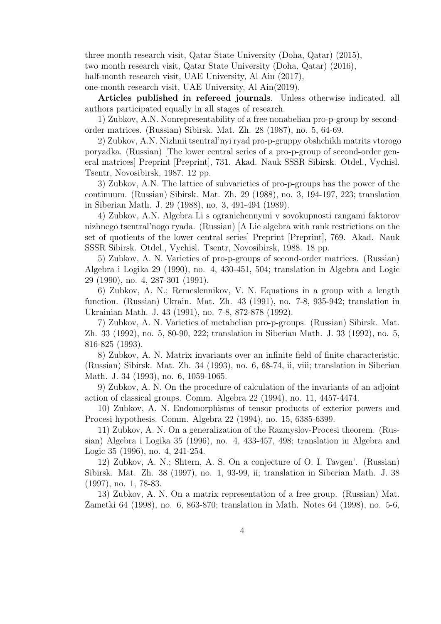three month research visit, Qatar State University (Doha, Qatar) (2015), two month research visit, Qatar State University (Doha, Qatar) (2016), half-month research visit, UAE University, Al Ain  $(2017)$ , one-month research visit, UAE University, Al Ain(2019).

Articles published in refereed journals. Unless otherwise indicated, all authors participated equally in all stages of research.

1) Zubkov, A.N. Nonrepresentability of a free nonabelian pro-p-group by secondorder matrices. (Russian) Sibirsk. Mat. Zh. 28 (1987), no. 5, 64-69.

2) Zubkov, A.N. Nizhnii tsentral'nyi ryad pro-p-gruppy obshchikh matrits vtorogo poryadka. (Russian) [The lower central series of a pro-p-group of second-order general matrices] Preprint [Preprint], 731. Akad. Nauk SSSR Sibirsk. Otdel., Vychisl. Tsentr, Novosibirsk, 1987. 12 pp.

3) Zubkov, A.N. The lattice of subvarieties of pro-p-groups has the power of the continuum. (Russian) Sibirsk. Mat. Zh. 29 (1988), no. 3, 194-197, 223; translation in Siberian Math. J. 29 (1988), no. 3, 491-494 (1989).

4) Zubkov, A.N. Algebra Li s ogranichennymi v sovokupnosti rangami faktorov nizhnego tsentral'nogo ryada. (Russian) [A Lie algebra with rank restrictions on the set of quotients of the lower central series] Preprint [Preprint], 769. Akad. Nauk SSSR Sibirsk. Otdel., Vychisl. Tsentr, Novosibirsk, 1988. 18 pp.

5) Zubkov, A. N. Varieties of pro-p-groups of second-order matrices. (Russian) Algebra i Logika 29 (1990), no. 4, 430-451, 504; translation in Algebra and Logic 29 (1990), no. 4, 287-301 (1991).

6) Zubkov, A. N.; Remeslennikov, V. N. Equations in a group with a length function. (Russian) Ukrain. Mat. Zh. 43 (1991), no. 7-8, 935-942; translation in Ukrainian Math. J. 43 (1991), no. 7-8, 872-878 (1992).

7) Zubkov, A. N. Varieties of metabelian pro-p-groups. (Russian) Sibirsk. Mat. Zh. 33 (1992), no. 5, 80-90, 222; translation in Siberian Math. J. 33 (1992), no. 5, 816-825 (1993).

8) Zubkov, A. N. Matrix invariants over an infinite field of finite characteristic. (Russian) Sibirsk. Mat. Zh. 34 (1993), no. 6, 68-74, ii, viii; translation in Siberian Math. J. 34 (1993), no. 6, 1059-1065.

9) Zubkov, A. N. On the procedure of calculation of the invariants of an adjoint action of classical groups. Comm. Algebra 22 (1994), no. 11, 4457-4474.

10) Zubkov, A. N. Endomorphisms of tensor products of exterior powers and Procesi hypothesis. Comm. Algebra 22 (1994), no. 15, 6385-6399.

11) Zubkov, A. N. On a generalization of the Razmyslov-Procesi theorem. (Russian) Algebra i Logika 35 (1996), no. 4, 433-457, 498; translation in Algebra and Logic 35 (1996), no. 4, 241-254.

12) Zubkov, A. N.; Shtern, A. S. On a conjecture of O. I. Tavgen'. (Russian) Sibirsk. Mat. Zh. 38 (1997), no. 1, 93-99, ii; translation in Siberian Math. J. 38 (1997), no. 1, 78-83.

13) Zubkov, A. N. On a matrix representation of a free group. (Russian) Mat. Zametki 64 (1998), no. 6, 863-870; translation in Math. Notes 64 (1998), no. 5-6,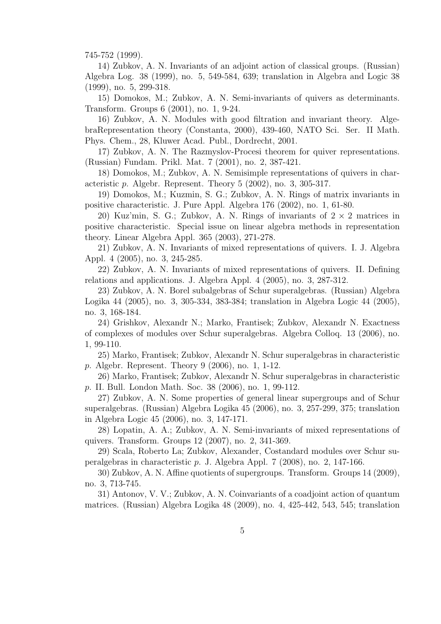745-752 (1999).

14) Zubkov, A. N. Invariants of an adjoint action of classical groups. (Russian) Algebra Log. 38 (1999), no. 5, 549-584, 639; translation in Algebra and Logic 38 (1999), no. 5, 299-318.

15) Domokos, M.; Zubkov, A. N. Semi-invariants of quivers as determinants. Transform. Groups 6 (2001), no. 1, 9-24.

16) Zubkov, A. N. Modules with good filtration and invariant theory. AlgebraRepresentation theory (Constanta, 2000), 439-460, NATO Sci. Ser. II Math. Phys. Chem., 28, Kluwer Acad. Publ., Dordrecht, 2001.

17) Zubkov, A. N. The Razmyslov-Procesi theorem for quiver representations. (Russian) Fundam. Prikl. Mat. 7 (2001), no. 2, 387-421.

18) Domokos, M.; Zubkov, A. N. Semisimple representations of quivers in characteristic  $p$ . Algebr. Represent. Theory  $5$  (2002), no. 3, 305-317.

19) Domokos, M.; Kuzmin, S. G.; Zubkov, A. N. Rings of matrix invariants in positive characteristic. J. Pure Appl. Algebra 176 (2002), no. 1, 61-80.

20) Kuz'min, S. G.; Zubkov, A. N. Rings of invariants of  $2 \times 2$  matrices in positive characteristic. Special issue on linear algebra methods in representation theory. Linear Algebra Appl. 365 (2003), 271-278.

21) Zubkov, A. N. Invariants of mixed representations of quivers. I. J. Algebra Appl. 4 (2005), no. 3, 245-285.

22) Zubkov, A. N. Invariants of mixed representations of quivers. II. Defining relations and applications. J. Algebra Appl. 4 (2005), no. 3, 287-312.

23) Zubkov, A. N. Borel subalgebras of Schur superalgebras. (Russian) Algebra Logika 44 (2005), no. 3, 305-334, 383-384; translation in Algebra Logic 44 (2005), no. 3, 168-184.

24) Grishkov, Alexandr N.; Marko, Frantisek; Zubkov, Alexandr N. Exactness of complexes of modules over Schur superalgebras. Algebra Colloq. 13 (2006), no. 1, 99-110.

25) Marko, Frantisek; Zubkov, Alexandr N. Schur superalgebras in characteristic p. Algebr. Represent. Theory 9 (2006), no. 1, 1-12.

26) Marko, Frantisek; Zubkov, Alexandr N. Schur superalgebras in characteristic p. II. Bull. London Math. Soc. 38 (2006), no. 1, 99-112.

27) Zubkov, A. N. Some properties of general linear supergroups and of Schur superalgebras. (Russian) Algebra Logika 45 (2006), no. 3, 257-299, 375; translation in Algebra Logic 45 (2006), no. 3, 147-171.

28) Lopatin, A. A.; Zubkov, A. N. Semi-invariants of mixed representations of quivers. Transform. Groups 12 (2007), no. 2, 341-369.

29) Scala, Roberto La; Zubkov, Alexander, Costandard modules over Schur superalgebras in characteristic p. J. Algebra Appl. 7 (2008), no. 2, 147-166.

30) Zubkov, A. N. Affine quotients of supergroups. Transform. Groups 14 (2009), no. 3, 713-745.

31) Antonov, V. V.; Zubkov, A. N. Coinvariants of a coadjoint action of quantum matrices. (Russian) Algebra Logika 48 (2009), no. 4, 425-442, 543, 545; translation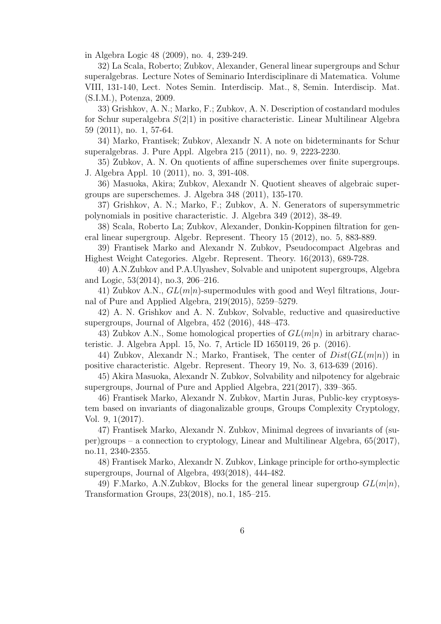in Algebra Logic 48 (2009), no. 4, 239-249.

32) La Scala, Roberto; Zubkov, Alexander, General linear supergroups and Schur superalgebras. Lecture Notes of Seminario Interdisciplinare di Matematica. Volume VIII, 131-140, Lect. Notes Semin. Interdiscip. Mat., 8, Semin. Interdiscip. Mat. (S.I.M.), Potenza, 2009.

33) Grishkov, A. N.; Marko, F.; Zubkov, A. N. Description of costandard modules for Schur superalgebra  $S(2|1)$  in positive characteristic. Linear Multilinear Algebra 59 (2011), no. 1, 57-64.

34) Marko, Frantisek; Zubkov, Alexandr N. A note on bideterminants for Schur superalgebras. J. Pure Appl. Algebra 215 (2011), no. 9, 2223-2230.

35) Zubkov, A. N. On quotients of affine superschemes over finite supergroups. J. Algebra Appl. 10 (2011), no. 3, 391-408.

36) Masuoka, Akira; Zubkov, Alexandr N. Quotient sheaves of algebraic supergroups are superschemes. J. Algebra 348 (2011), 135-170.

37) Grishkov, A. N.; Marko, F.; Zubkov, A. N. Generators of supersymmetric polynomials in positive characteristic. J. Algebra 349 (2012), 38-49.

38) Scala, Roberto La; Zubkov, Alexander, Donkin-Koppinen filtration for general linear supergroup. Algebr. Represent. Theory 15 (2012), no. 5, 883-889.

39) Frantisek Marko and Alexandr N. Zubkov, Pseudocompact Algebras and Highest Weight Categories. Algebr. Represent. Theory. 16(2013), 689-728.

40) A.N.Zubkov and P.A.Ulyashev, Solvable and unipotent supergroups, Algebra and Logic, 53(2014), no.3, 206–216.

41) Zubkov A.N.,  $GL(m|n)$ -supermodules with good and Weyl filtrations, Journal of Pure and Applied Algebra, 219(2015), 5259–5279.

42) A. N. Grishkov and A. N. Zubkov, Solvable, reductive and quasireductive supergroups, Journal of Algebra, 452 (2016), 448–473.

43) Zubkov A.N., Some homological properties of  $GL(m|n)$  in arbitrary characteristic. J. Algebra Appl. 15, No. 7, Article ID 1650119, 26 p. (2016).

44) Zubkov, Alexandr N.; Marko, Frantisek, The center of  $Dist(GL(m|n))$  in positive characteristic. Algebr. Represent. Theory 19, No. 3, 613-639 (2016).

45) Akira Masuoka, Alexandr N. Zubkov, Solvability and nilpotency for algebraic supergroups, Journal of Pure and Applied Algebra, 221(2017), 339–365.

46) Frantisek Marko, Alexandr N. Zubkov, Martin Juras, Public-key cryptosystem based on invariants of diagonalizable groups, Groups Complexity Cryptology, Vol. 9, 1(2017).

47) Frantisek Marko, Alexandr N. Zubkov, Minimal degrees of invariants of (super)groups – a connection to cryptology, Linear and Multilinear Algebra, 65(2017), no.11, 2340-2355.

48) Frantisek Marko, Alexandr N. Zubkov, Linkage principle for ortho-symplectic supergroups, Journal of Algebra, 493(2018), 444-482.

49) F.Marko, A.N.Zubkov, Blocks for the general linear supergroup  $GL(m|n)$ , Transformation Groups, 23(2018), no.1, 185–215.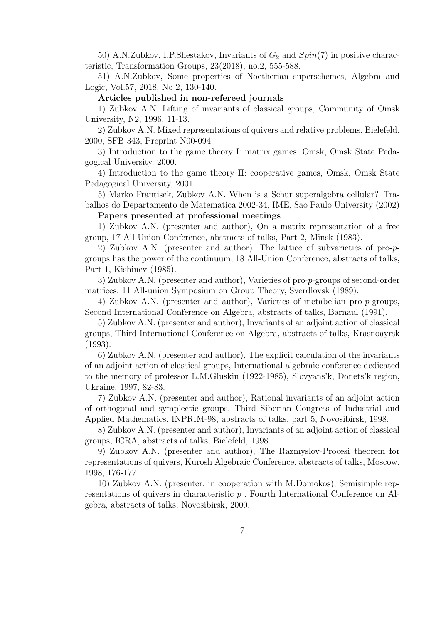50) A.N.Zubkov, I.P.Shestakov, Invariants of  $G_2$  and  $Spin(7)$  in positive characteristic, Transformation Groups, 23(2018), no.2, 555-588.

51) A.N.Zubkov, Some properties of Noetherian superschemes, Algebra and Logic, Vol.57, 2018, No 2, 130-140.

#### Articles published in non-refereed journals :

1) Zubkov A.N. Lifting of invariants of classical groups, Community of Omsk University, N2, 1996, 11-13.

2) Zubkov A.N. Mixed representations of quivers and relative problems, Bielefeld, 2000, SFB 343, Preprint N00-094.

3) Introduction to the game theory I: matrix games, Omsk, Omsk State Pedagogical University, 2000.

4) Introduction to the game theory II: cooperative games, Omsk, Omsk State Pedagogical University, 2001.

5) Marko Frantisek, Zubkov A.N. When is a Schur superalgebra cellular? Trabalhos do Departamento de Matematica 2002-34, IME, Sao Paulo University (2002)

## Papers presented at professional meetings :

1) Zubkov A.N. (presenter and author), On a matrix representation of a free group, 17 All-Union Conference, abstracts of talks, Part 2, Minsk (1983).

2) Zubkov A.N. (presenter and author), The lattice of subvarieties of pro-pgroups has the power of the continuum, 18 All-Union Conference, abstracts of talks, Part 1, Kishinev (1985).

3) Zubkov A.N. (presenter and author), Varieties of pro-p-groups of second-order matrices, 11 All-union Symposium on Group Theory, Sverdlovsk (1989).

4) Zubkov A.N. (presenter and author), Varieties of metabelian pro-p-groups, Second International Conference on Algebra, abstracts of talks, Barnaul (1991).

5) Zubkov A.N. (presenter and author), Invariants of an adjoint action of classical groups, Third International Conference on Algebra, abstracts of talks, Krasnoayrsk (1993).

6) Zubkov A.N. (presenter and author), The explicit calculation of the invariants of an adjoint action of classical groups, International algebraic conference dedicated to the memory of professor L.M.Gluskin (1922-1985), Slovyans'k, Donets'k region, Ukraine, 1997, 82-83.

7) Zubkov A.N. (presenter and author), Rational invariants of an adjoint action of orthogonal and symplectic groups, Third Siberian Congress of Industrial and Applied Mathematics, INPRIM-98, abstracts of talks, part 5, Novosibirsk, 1998.

8) Zubkov A.N. (presenter and author), Invariants of an adjoint action of classical groups, ICRA, abstracts of talks, Bielefeld, 1998.

9) Zubkov A.N. (presenter and author), The Razmyslov-Procesi theorem for representations of quivers, Kurosh Algebraic Conference, abstracts of talks, Moscow, 1998, 176-177.

10) Zubkov A.N. (presenter, in cooperation with M.Domokos), Semisimple representations of quivers in characteristic  $p$ , Fourth International Conference on Algebra, abstracts of talks, Novosibirsk, 2000.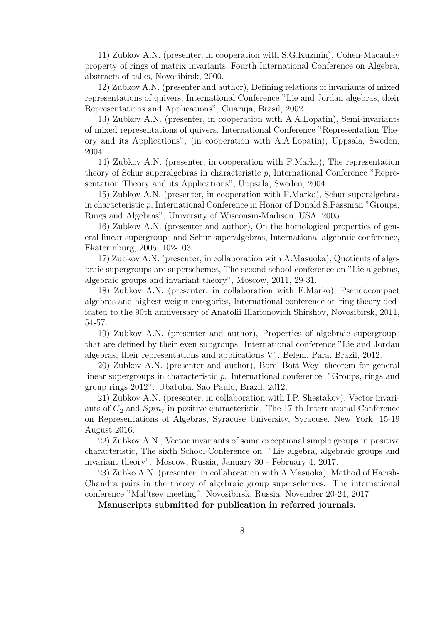11) Zubkov A.N. (presenter, in cooperation with S.G.Kuzmin), Cohen-Macaulay property of rings of matrix invariants, Fourth International Conference on Algebra, abstracts of talks, Novosibirsk, 2000.

12) Zubkov A.N. (presenter and author), Defining relations of invariants of mixed representations of quivers, International Conference "Lie and Jordan algebras, their Representations and Applications", Guaruja, Brasil, 2002.

13) Zubkov A.N. (presenter, in cooperation with A.A.Lopatin), Semi-invariants of mixed representations of quivers, International Conference "Representation Theory and its Applications", (in cooperation with A.A.Lopatin), Uppsala, Sweden, 2004.

14) Zubkov A.N. (presenter, in cooperation with F.Marko), The representation theory of Schur superalgebras in characteristic p, International Conference "Representation Theory and its Applications", Uppsala, Sweden, 2004.

15) Zubkov A.N. (presenter, in cooperation with F.Marko), Schur superalgebras in characteristic p, International Conference in Honor of Donald S.Passman "Groups, Rings and Algebras", University of Wisconsin-Madison, USA, 2005.

16) Zubkov A.N. (presenter and author), On the homological properties of general linear supergroups and Schur superalgebras, International algebraic conference, Ekaterinburg, 2005, 102-103.

17) Zubkov A.N. (presenter, in collaboration with A.Masuoka), Quotients of algebraic supergroups are superschemes, The second school-conference on "Lie algebras, algebraic groups and invariant theory", Moscow, 2011, 29-31.

18) Zubkov A.N. (presenter, in collaboration with F.Marko), Pseudocompact algebras and highest weight categories, International conference on ring theory dedicated to the 90th anniversary of Anatolii Illarionovich Shirshov, Novosibirsk, 2011, 54-57.

19) Zubkov A.N. (presenter and author), Properties of algebraic supergroups that are defined by their even subgroups. International conference "Lie and Jordan algebras, their representations and applications V", Belem, Para, Brazil, 2012.

20) Zubkov A.N. (presenter and author), Borel-Bott-Weyl theorem for general linear supergroups in characteristic p. International conference "Groups, rings and group rings 2012". Ubatuba, Sao Paulo, Brazil, 2012.

21) Zubkov A.N. (presenter, in collaboration with I.P. Shestakov), Vector invariants of  $G_2$  and  $Spin<sub>7</sub>$  in positive characteristic. The 17-th International Conference on Representations of Algebras, Syracuse University, Syracuse, New York, 15-19 August 2016.

22) Zubkov A.N., Vector invariants of some exceptional simple groups in positive characteristic, The sixth School-Conference on "Lie algebra, algebraic groups and invariant theory". Moscow, Russia, January 30 - February 4, 2017.

23) Zubko A.N. (presenter, in collaboration with A.Masuoka), Method of Harish-Chandra pairs in the theory of algebraic group superschemes. The international conference "Mal'tsev meeting", Novosibirsk, Russia, November 20-24, 2017.

Manuscripts submitted for publication in referred journals.